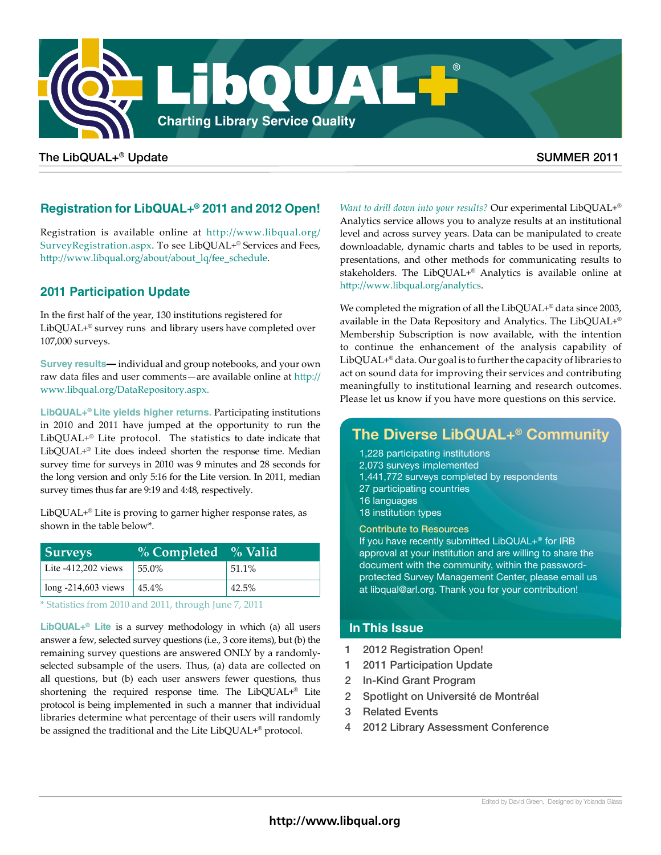

### The LibQUAL+® Update  $\blacksquare$  and  $\blacksquare$  and  $\blacksquare$  and  $\blacksquare$  summer  $\blacksquare$  summer  $\blacksquare$  and  $\blacksquare$  summer  $\blacksquare$

## **Registration for LibQUAL+® 2011 and 2012 Open!**

Registration is available online at http://www.libqual.org/ SurveyRegistration.aspx. To see LibQUAL+® Services and Fees, http://www.libqual.org/about/about\_lq/fee\_schedule.

## **2011 Participation Update**

In the first half of the year, 130 institutions registered for LibQUAL+® survey runs and library users have completed over 107,000 surveys.

**Survey results—** individual and group notebooks, and your own raw data files and user comments—are available online at [http://](http://www.libqual.org/DataRepository.aspx) [www.libqual.org/DataRepository.aspx.](http://www.libqual.org/DataRepository.aspx)

**LibQUAL+® Lite yields higher returns.** Participating institutions in 2010 and 2011 have jumped at the opportunity to run the LibQUAL+® Lite protocol. The statistics to date indicate that LibQUAL+® Lite does indeed shorten the response time. Median survey time for surveys in 2010 was 9 minutes and 28 seconds for the long version and only 5:16 for the Lite version. In 2011, median survey times thus far are 9:19 and 4:48, respectively.

LibQUAL+® Lite is proving to garner higher response rates, as shown in the table below\*.

| <b>Surveys</b>        | % Completed % Valid |          |
|-----------------------|---------------------|----------|
| Lite $-412,202$ views | 55.0%               | $51.1\%$ |
| $long -214,603$ views | $145.4\%$           | 42.5%    |

\* Statistics from 2010 and 2011, through June 7, 2011

**LibQUAL+® Lite** is a survey methodology in which (a) all users answer a few, selected survey questions (i.e., 3 core items), but (b) the remaining survey questions are answered ONLY by a randomlyselected subsample of the users. Thus, (a) data are collected on all questions, but (b) each user answers fewer questions, thus shortening the required response time. The LibQUAL+® Lite protocol is being implemented in such a manner that individual libraries determine what percentage of their users will randomly be assigned the traditional and the Lite LibQUAL+® protocol.

*Want to drill down into your results?* Our experimental LibQUAL+® Analytics service allows you to analyze results at an institutional level and across survey years. Data can be manipulated to create downloadable, dynamic charts and tables to be used in reports, presentations, and other methods for communicating results to stakeholders. The LibQUAL+® Analytics is available online at <http://www.libqual.org/analytics>.

We completed the migration of all the LibQUAL+® data since 2003, available in the Data Repository and Analytics. The LibQUAL+® Membership Subscription is now available, with the intention to continue the enhancement of the analysis capability of LibQUAL+® data. Our goal is to further the capacity of libraries to act on sound data for improving their services and contributing meaningfully to institutional learning and research outcomes. Please let us know if you have more questions on this service.

# **The Diverse LibQUAL+® Community**

- 1,228 participating institutions
- 2,073 surveys implemented
- 1,441,772 surveys completed by respondents
- 27 participating countries
- 16 languages
- 18 institution types

#### Contribute to Resources

If you have recently submitted LibQUAL+® for IRB approval at your institution and are willing to share the document with the community, within the passwordprotected Survey Management Center, please email us at libqual@arl.org. Thank you for your contribution!

#### **In This Issue**

- 1 2012 Registration Open!
- 1 2011 Participation Update
- 2 In-Kind Grant Program
- 2 Spotlight on Université de Montréal
- 3 Related Events
- 2012 Library Assessment Conference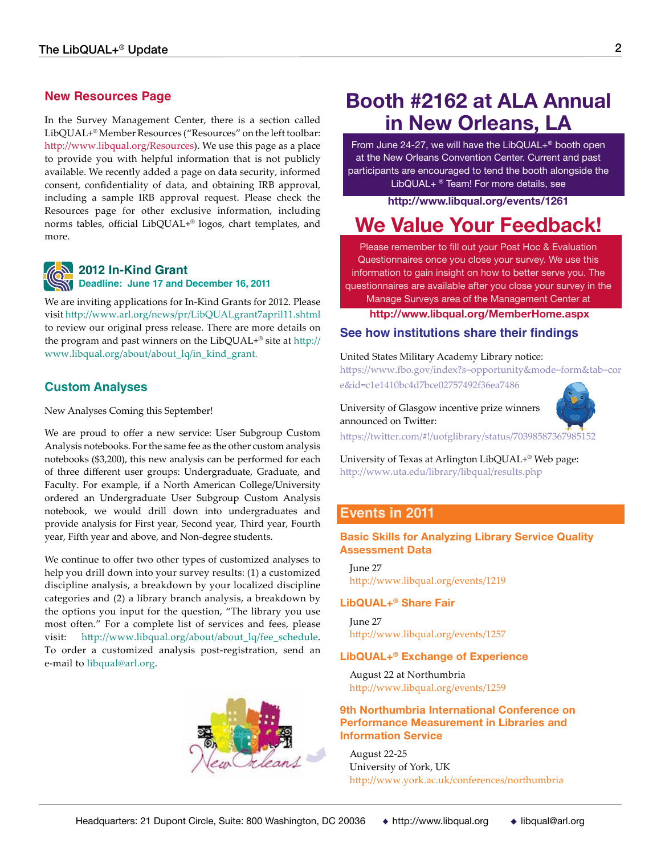#### **New Resources Page**

In the Survey Management Center, there is a section called LibQUAL+® Member Resources ("Resources" on the left toolbar: http://www.libqual.org/Resources). We use this page as a place to provide you with helpful information that is not publicly available. We recently added a page on data security, informed consent, confidentiality of data, and obtaining IRB approval, including a sample IRB approval request. Please check the Resources page for other exclusive information, including norms tables, official LibQUAL+® logos, chart templates, and more.



#### **2012 In-Kind Grant Deadline: June 17 and December 16, 2011**

We are inviting applications for In-Kind Grants for 2012. Please visit http://www.arl.org/news/pr/LibQUALgrant7april11.shtml to review our original press release. There are more details on the program and past winners on the LibQUAL+® site at http:// www.libqual.org/about/about\_lq/in\_kind\_grant.

#### **Custom Analyses**

New Analyses Coming this September!

We are proud to offer a new service: User Subgroup Custom Analysis notebooks. For the same fee as the other custom analysis notebooks (\$3,200), this new analysis can be performed for each of three different user groups: Undergraduate, Graduate, and Faculty. For example, if a North American College/University ordered an Undergraduate User Subgroup Custom Analysis notebook, we would drill down into undergraduates and provide analysis for First year, Second year, Third year, Fourth year, Fifth year and above, and Non-degree students.

We continue to offer two other types of customized analyses to help you drill down into your survey results: (1) a customized discipline analysis, a breakdown by your localized discipline categories and (2) a library branch analysis, a breakdown by the options you input for the question, "The library you use most often." For a complete list of services and fees, please visit: http://www.libqual.org/about/about\_lq/fee\_schedule. To order a customized analysis post-registration, send an e-mail to libqual@arl.org.



# **Booth #2162 at ALA Annual in New Orleans, LA**

From June  $24-27$ , we will have the LibQUAL $+^{\circ}$  booth open at the New Orleans Convention Center. Current and past participants are encouraged to tend the booth alongside the LibQUAL+<sup>®</sup> Team! For more details, see

**http://www.libqual.org/events/1261**

# **We Value Your Feedback!**

Please remember to fill out your Post Hoc & Evaluation Questionnaires once you close your survey. We use this information to gain insight on how to better serve you. The questionnaires are available after you close your survey in the

Manage Surveys area of the Management Center at **http://www.libqual.org/MemberHome.aspx**

#### **See how institutions share their findings**

#### United States Military Academy Library notice:

https://www.fbo.gov/index?s=opportunity&mode=form&tab=cor e&id=c1e1410bc4d7bce02757492f36ea7486

University of Glasgow incentive prize winners announced on Twitter:



https://twitter.com/#!/uofglibrary/status/70398587[367985152](http://twitter.com/uoftlibraries/status/53209493554741248)

University of Texas at Arlington LibQUAL+® Web page: http://www.uta.edu/library/libqual/results.php

#### **Events in 2011**

#### **Basic Skills for Analyzing Library Service Quality Assessment Data**

June 27 http://www.libqual.org/events/1219

#### **LibQUAL+® Share Fair**

June 27 http://www.libqual.org/events/1257

#### **LibQUAL+® Exchange of Experience**

August 22 at Northumbria http://www.libqual.org/events/1259

#### **9th Northumbria International Conference on Performance Measurement in Libraries and Information Service**

August 22-25 University of York, UK http://www.york.ac.uk/conferences/northumbria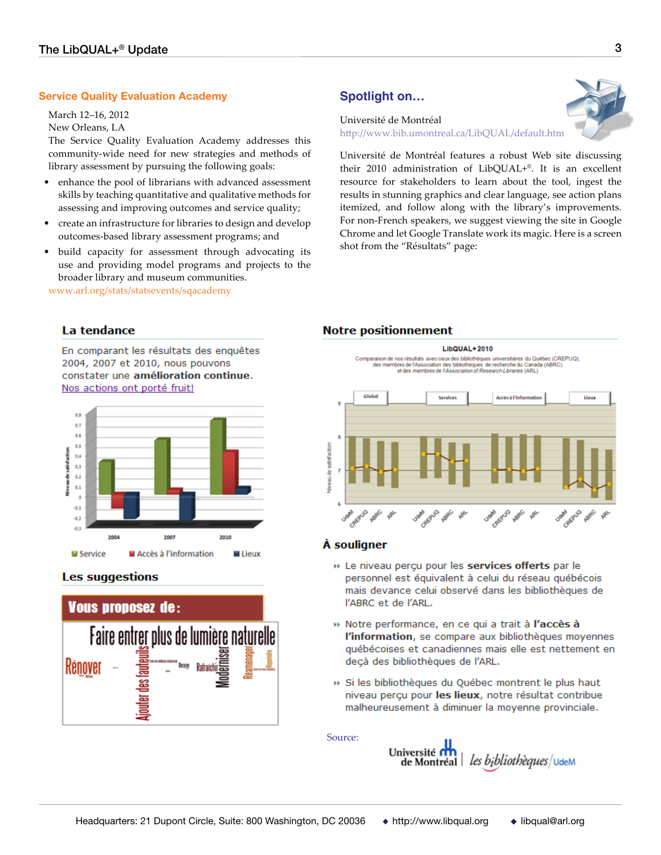#### **Service Quality Evaluation Academy**

March 12–16, 2012 New Orleans, LA

The Service Quality Evaluation Academy addresses this community-wide need for new strategies and methods of library assessment by pursuing the following goals:

- enhance the pool of librarians with advanced assessment skills by teaching quantitative and qualitative methods for assessing and improving outcomes and service quality;
- create an infrastructure for libraries to design and develop outcomes-based library assessment programs; and
- build capacity for assessment through advocating its use and providing model programs and projects to the broader library and museum communities.

www.arl.org/stats/statsevents/sqacademy

# **Spotlight on…**

Université de Montréal http://www.bib.umontreal.ca/LibQUAL/default.htm

Université de Montréal features a robust Web site discussing their 2010 administration of LibQUAL+®. It is an excellent resource for stakeholders to learn about the tool, ingest the results in stunning graphics and clear language, see action plans itemized, and follow along with the library's improvements. For non-French speakers, we suggest viewing the site in Google Chrome and let Google Translate work its magic. Here is a screen shot from the "Résultats" page:

#### La tendance

En comparant les résultats des enquêtes 2004, 2007 et 2010, nous pouvons constater une amélioration continue. Nos actions ont porté fruit!



#### **Les suggestions**



#### **Notre positionnement**

**LibOUAL+2010** Comparaison de nos résultats avec ceux des bibliothèques universitaires du Québec (CREPUQ),<br>des membres de l'Association des de bibliothèques de recherche du Canada (ABRC)<br>et des membres de l'Association of Research Librar disha Services Accès à l'info tiern satisfaction ė

#### À souligner

- » Le niveau perçu pour les services offerts par le personnel est équivalent à celui du réseau québécois mais devance celui observé dans les bibliothèques de l'ABRC et de l'ARL.
- » Notre performance, en ce qui a trait à l'accès à l'information, se compare aux bibliothèques moyennes québécoises et canadiennes mais elle est nettement en deçà des bibliothèques de l'ARL.
- » Si les bibliothèques du Québec montrent le plus haut niveau perçu pour les lieux, notre résultat contribue malheureusement à diminuer la moyenne provinciale.

Source:

Université ri de Montréal les bibliothèques/UdeM